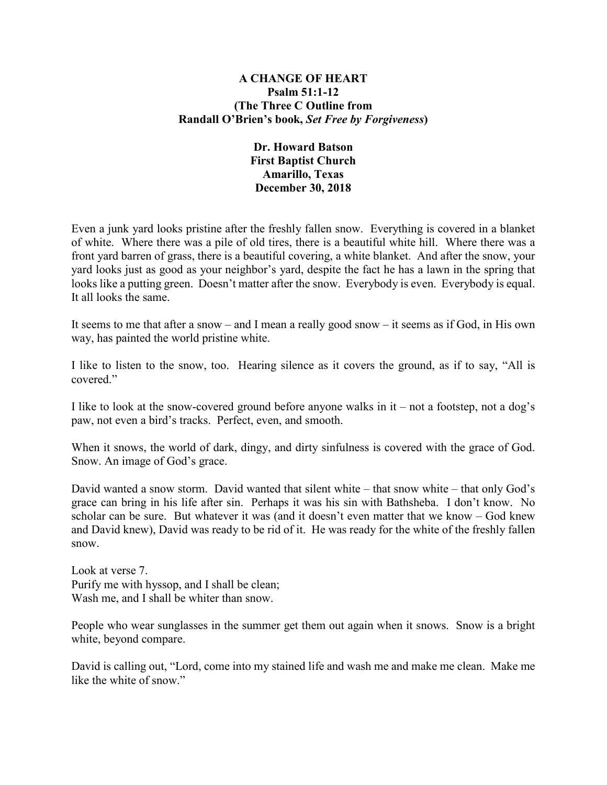### **A CHANGE OF HEART Psalm 51:1-12 (The Three C Outline from Randall O'Brien's book,** *Set Free by Forgiveness***)**

# **Dr. Howard Batson First Baptist Church Amarillo, Texas December 30, 2018**

Even a junk yard looks pristine after the freshly fallen snow. Everything is covered in a blanket of white. Where there was a pile of old tires, there is a beautiful white hill. Where there was a front yard barren of grass, there is a beautiful covering, a white blanket. And after the snow, your yard looks just as good as your neighbor's yard, despite the fact he has a lawn in the spring that looks like a putting green. Doesn't matter after the snow. Everybody is even. Everybody is equal. It all looks the same.

It seems to me that after a snow – and I mean a really good snow – it seems as if God, in His own way, has painted the world pristine white.

I like to listen to the snow, too. Hearing silence as it covers the ground, as if to say, "All is covered."

I like to look at the snow-covered ground before anyone walks in  $it$  – not a footstep, not a dog's paw, not even a bird's tracks. Perfect, even, and smooth.

When it snows, the world of dark, dingy, and dirty sinfulness is covered with the grace of God. Snow. An image of God's grace.

David wanted a snow storm. David wanted that silent white – that snow white – that only God's grace can bring in his life after sin. Perhaps it was his sin with Bathsheba. I don't know. No scholar can be sure. But whatever it was (and it doesn't even matter that we know – God knew and David knew), David was ready to be rid of it. He was ready for the white of the freshly fallen snow.

Look at verse 7. Purify me with hyssop, and I shall be clean; Wash me, and I shall be whiter than snow.

People who wear sunglasses in the summer get them out again when it snows. Snow is a bright white, beyond compare.

David is calling out, "Lord, come into my stained life and wash me and make me clean. Make me like the white of snow."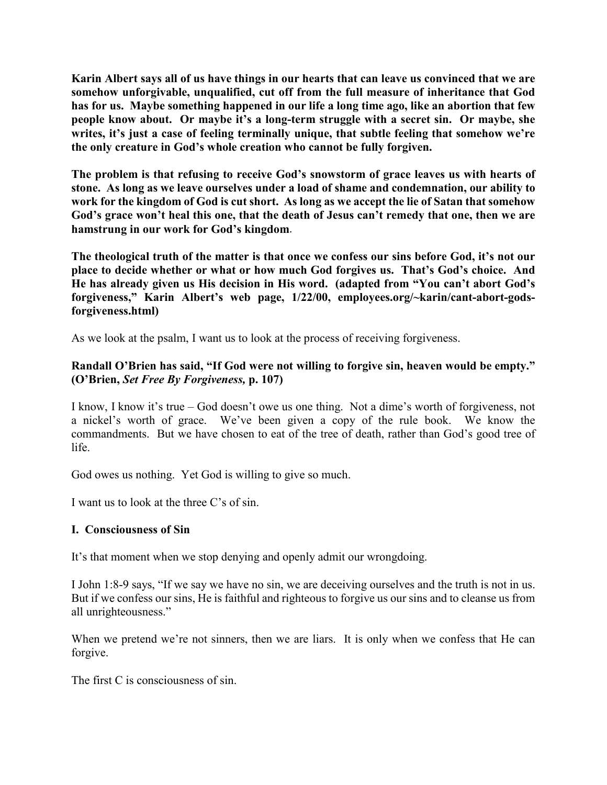**Karin Albert says all of us have things in our hearts that can leave us convinced that we are somehow unforgivable, unqualified, cut off from the full measure of inheritance that God has for us. Maybe something happened in our life a long time ago, like an abortion that few people know about. Or maybe it's a long-term struggle with a secret sin. Or maybe, she writes, it's just a case of feeling terminally unique, that subtle feeling that somehow we're the only creature in God's whole creation who cannot be fully forgiven.**

**The problem is that refusing to receive God's snowstorm of grace leaves us with hearts of stone. As long as we leave ourselves under a load of shame and condemnation, our ability to work for the kingdom of God is cut short. As long as we accept the lie of Satan that somehow God's grace won't heal this one, that the death of Jesus can't remedy that one, then we are hamstrung in our work for God's kingdom**.

**The theological truth of the matter is that once we confess our sins before God, it's not our place to decide whether or what or how much God forgives us. That's God's choice. And He has already given us His decision in His word. (adapted from "You can't abort God's forgiveness," Karin Albert's web page, 1/22/00, employees.org/~karin/cant-abort-godsforgiveness.html)**

As we look at the psalm, I want us to look at the process of receiving forgiveness.

# **Randall O'Brien has said, "If God were not willing to forgive sin, heaven would be empty." (O'Brien,** *Set Free By Forgiveness,* **p. 107)**

I know, I know it's true – God doesn't owe us one thing. Not a dime's worth of forgiveness, not a nickel's worth of grace. We've been given a copy of the rule book. We know the commandments. But we have chosen to eat of the tree of death, rather than God's good tree of life.

God owes us nothing. Yet God is willing to give so much.

I want us to look at the three C's of sin.

## **I. Consciousness of Sin**

It's that moment when we stop denying and openly admit our wrongdoing.

I John 1:8-9 says, "If we say we have no sin, we are deceiving ourselves and the truth is not in us. But if we confess our sins, He is faithful and righteous to forgive us our sins and to cleanse us from all unrighteousness."

When we pretend we're not sinners, then we are liars. It is only when we confess that He can forgive.

The first C is consciousness of sin.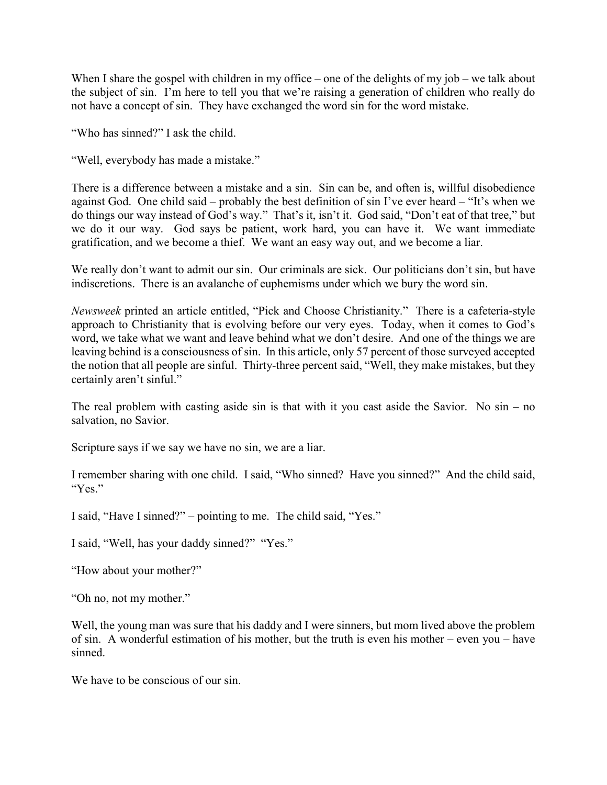When I share the gospel with children in my office – one of the delights of my job – we talk about the subject of sin. I'm here to tell you that we're raising a generation of children who really do not have a concept of sin. They have exchanged the word sin for the word mistake.

"Who has sinned?" I ask the child.

"Well, everybody has made a mistake."

There is a difference between a mistake and a sin. Sin can be, and often is, willful disobedience against God. One child said – probably the best definition of sin I've ever heard – "It's when we do things our way instead of God's way." That's it, isn't it. God said, "Don't eat of that tree," but we do it our way. God says be patient, work hard, you can have it. We want immediate gratification, and we become a thief. We want an easy way out, and we become a liar.

We really don't want to admit our sin. Our criminals are sick. Our politicians don't sin, but have indiscretions. There is an avalanche of euphemisms under which we bury the word sin.

*Newsweek* printed an article entitled, "Pick and Choose Christianity." There is a cafeteria-style approach to Christianity that is evolving before our very eyes. Today, when it comes to God's word, we take what we want and leave behind what we don't desire. And one of the things we are leaving behind is a consciousness of sin. In this article, only 57 percent of those surveyed accepted the notion that all people are sinful. Thirty-three percent said, "Well, they make mistakes, but they certainly aren't sinful."

The real problem with casting aside sin is that with it you cast aside the Savior. No  $sin - no$ salvation, no Savior.

Scripture says if we say we have no sin, we are a liar.

I remember sharing with one child. I said, "Who sinned? Have you sinned?" And the child said, "Yes."

I said, "Have I sinned?" – pointing to me. The child said, "Yes."

I said, "Well, has your daddy sinned?" "Yes."

"How about your mother?"

"Oh no, not my mother."

Well, the young man was sure that his daddy and I were sinners, but mom lived above the problem of sin. A wonderful estimation of his mother, but the truth is even his mother – even you – have sinned.

We have to be conscious of our sin.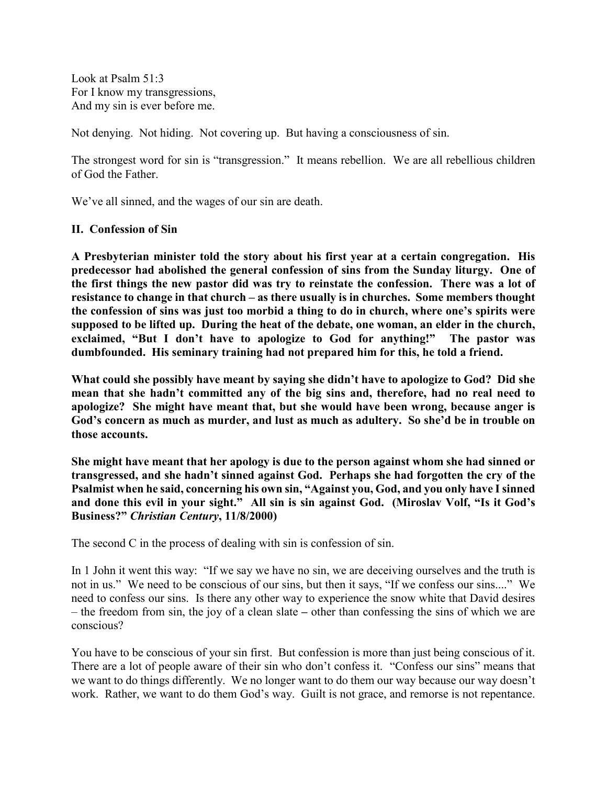Look at Psalm 51:3 For I know my transgressions, And my sin is ever before me.

Not denying. Not hiding. Not covering up. But having a consciousness of sin.

The strongest word for sin is "transgression." It means rebellion. We are all rebellious children of God the Father.

We've all sinned, and the wages of our sin are death.

#### **II. Confession of Sin**

**A Presbyterian minister told the story about his first year at a certain congregation. His predecessor had abolished the general confession of sins from the Sunday liturgy. One of the first things the new pastor did was try to reinstate the confession. There was a lot of resistance to change in that church – as there usually is in churches. Some members thought the confession of sins was just too morbid a thing to do in church, where one's spirits were supposed to be lifted up. During the heat of the debate, one woman, an elder in the church, exclaimed, "But I don't have to apologize to God for anything!" The pastor was dumbfounded. His seminary training had not prepared him for this, he told a friend.**

**What could she possibly have meant by saying she didn't have to apologize to God? Did she mean that she hadn't committed any of the big sins and, therefore, had no real need to apologize? She might have meant that, but she would have been wrong, because anger is God's concern as much as murder, and lust as much as adultery. So she'd be in trouble on those accounts.**

**She might have meant that her apology is due to the person against whom she had sinned or transgressed, and she hadn't sinned against God. Perhaps she had forgotten the cry of the Psalmist when he said, concerning his own sin, "Against you, God, and you only have I sinned and done this evil in your sight." All sin is sin against God. (Miroslav Volf, "Is it God's Business?"** *Christian Century***, 11/8/2000)**

The second C in the process of dealing with sin is confession of sin.

In 1 John it went this way: "If we say we have no sin, we are deceiving ourselves and the truth is not in us." We need to be conscious of our sins, but then it says, "If we confess our sins...." We need to confess our sins. Is there any other way to experience the snow white that David desires – the freedom from sin, the joy of a clean slate **–** other than confessing the sins of which we are conscious?

You have to be conscious of your sin first. But confession is more than just being conscious of it. There are a lot of people aware of their sin who don't confess it. "Confess our sins" means that we want to do things differently. We no longer want to do them our way because our way doesn't work. Rather, we want to do them God's way. Guilt is not grace, and remorse is not repentance.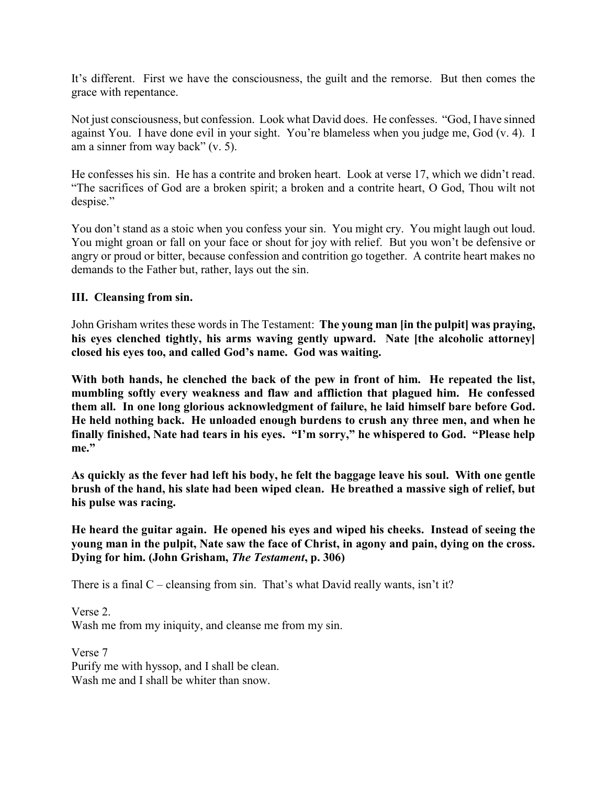It's different. First we have the consciousness, the guilt and the remorse. But then comes the grace with repentance.

Not just consciousness, but confession. Look what David does. He confesses. "God, I have sinned against You. I have done evil in your sight. You're blameless when you judge me, God (v. 4). I am a sinner from way back" (v. 5).

He confesses his sin. He has a contrite and broken heart. Look at verse 17, which we didn't read. "The sacrifices of God are a broken spirit; a broken and a contrite heart, O God, Thou wilt not despise."

You don't stand as a stoic when you confess your sin. You might cry. You might laugh out loud. You might groan or fall on your face or shout for joy with relief. But you won't be defensive or angry or proud or bitter, because confession and contrition go together. A contrite heart makes no demands to the Father but, rather, lays out the sin.

### **III. Cleansing from sin.**

John Grisham writes these words in The Testament: **The young man [in the pulpit] was praying, his eyes clenched tightly, his arms waving gently upward. Nate [the alcoholic attorney] closed his eyes too, and called God's name. God was waiting.**

**With both hands, he clenched the back of the pew in front of him. He repeated the list, mumbling softly every weakness and flaw and affliction that plagued him. He confessed them all. In one long glorious acknowledgment of failure, he laid himself bare before God. He held nothing back. He unloaded enough burdens to crush any three men, and when he finally finished, Nate had tears in his eyes. "I'm sorry," he whispered to God. "Please help me."**

**As quickly as the fever had left his body, he felt the baggage leave his soul. With one gentle brush of the hand, his slate had been wiped clean. He breathed a massive sigh of relief, but his pulse was racing.**

**He heard the guitar again. He opened his eyes and wiped his cheeks. Instead of seeing the young man in the pulpit, Nate saw the face of Christ, in agony and pain, dying on the cross. Dying for him. (John Grisham,** *The Testament***, p. 306)**

There is a final  $C -$  cleansing from sin. That's what David really wants, isn't it?

Verse 2. Wash me from my iniquity, and cleanse me from my sin.

Verse 7 Purify me with hyssop, and I shall be clean. Wash me and I shall be whiter than snow.